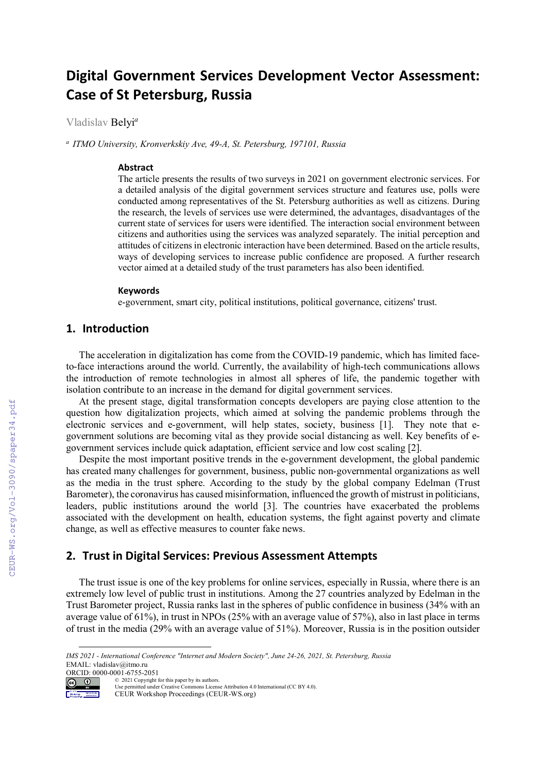# **Digital Government Services Development Vector Assessment: Case of St Petersburg, Russia**

Vladislav Belyi*<sup>a</sup>*

*a ITMO University, Kronverkskiy Ave, 49-A, St. Petersburg, 197101, Russia* 

## **Abstract**

The article presents the results of two surveys in 2021 on government electronic services. For a detailed analysis of the digital government services structure and features use, polls were conducted among representatives of the St. Petersburg authorities as well as citizens. During the research, the levels of services use were determined, the advantages, disadvantages of the current state of services for users were identified. The interaction social environment between citizens and authorities using the services was analyzed separately. The initial perception and attitudes of citizens in electronic interaction have been determined. Based on the article results, ways of developing services to increase public confidence are proposed. A further research vector aimed at a detailed study of the trust parameters has also been identified.

#### **Keywords 1**

e-government, smart city, political institutions, political governance, citizens' trust.

## **1. Introduction**

The acceleration in digitalization has come from the COVID-19 pandemic, which has limited faceto-face interactions around the world. Currently, the availability of high-tech communications allows the introduction of remote technologies in almost all spheres of life, the pandemic together with isolation contribute to an increase in the demand for digital government services.

At the present stage, digital transformation concepts developers are paying close attention to the question how digitalization projects, which aimed at solving the pandemic problems through the electronic services and e-government, will help states, society, business [1]. They note that egovernment solutions are becoming vital as they provide social distancing as well. Key benefits of egovernment services include quick adaptation, efficient service and low cost scaling [2].

Despite the most important positive trends in the e-government development, the global pandemic has created many challenges for government, business, public non-governmental organizations as well as the media in the trust sphere. According to the study by the global company Edelman (Trust Barometer), the coronavirus has caused misinformation, influenced the growth of mistrust in politicians, leaders, public institutions around the world [3]. The countries have exacerbated the problems associated with the development on health, education systems, the fight against poverty and climate change, as well as effective measures to counter fake news.

## **2. Trust in Digital Services: Previous Assessment Attempts**

The trust issue is one of the key problems for online services, especially in Russia, where there is an extremely low level of public trust in institutions. Among the 27 countries analyzed by Edelman in the Trust Barometer project, Russia ranks last in the spheres of public confidence in business (34% with an average value of 61%), in trust in NPOs (25% with an average value of 57%), also in last place in terms of trust in the media (29% with an average value of 51%). Moreover, Russia is in the position outsider

ORCID: 0000-0001-6755-2051 © 2021 Copyright for this paper by its authors.



Use permitted under Creative Commons License Attribution 4.0 International (CC BY 4.0).

CEUR Workshop Proceedings (CEUR-WS.org)

*IMS 2021 - International Conference "Internet and Modern Society", June 24-26, 2021, St. Petersburg, Russia* EMAIL: vladislav@itmo.ru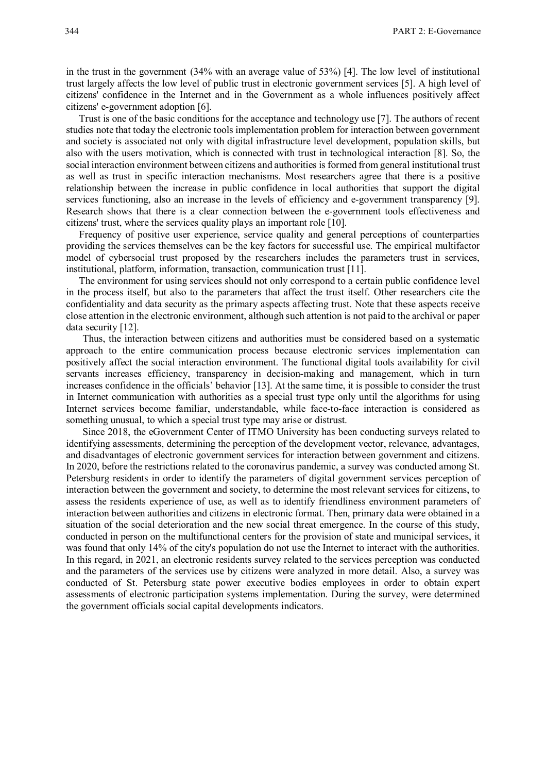in the trust in the government (34% with an average value of 53%) [4]. The low level of institutional trust largely affects the low level of public trust in electronic government services [5]. А high level of citizens' confidence in the Internet and in the Government as a whole influences positively affect citizens' e-government adoption [6].

Trust is one of the basic conditions for the acceptance and technology use [7]. The authors of recent studies note that today the electronic tools implementation problem for interaction between government and society is associated not only with digital infrastructure level development, population skills, but also with the users motivation, which is connected with trust in technological interaction [8]. So, the social interaction environment between citizens and authorities is formed from general institutional trust as well as trust in specific interaction mechanisms. Most researchers agree that there is a positive relationship between the increase in public confidence in local authorities that support the digital services functioning, also an increase in the levels of efficiency and e-government transparency [9]. Research shows that there is a clear connection between the e-government tools effectiveness and citizens' trust, where the services quality plays an important role [10].

Frequency of positive user experience, service quality and general perceptions of counterparties providing the services themselves can be the key factors for successful use. The empirical multifactor model of cybersocial trust proposed by the researchers includes the parameters trust in services, institutional, platform, information, transaction, communication trust [11].

The environment for using services should not only correspond to a certain public confidence level in the process itself, but also to the parameters that affect the trust itself. Other researchers cite the confidentiality and data security as the primary aspects affecting trust. Note that these aspects receive close attention in the electronic environment, although such attention is not paid to the archival or paper data security [12].

Thus, the interaction between citizens and authorities must be considered based on a systematic approach to the entire communication process because electronic services implementation can positively affect the social interaction environment. The functional digital tools availability for civil servants increases efficiency, transparency in decision-making and management, which in turn increases confidence in the officials' behavior [13]. At the same time, it is possible to consider the trust in Internet communication with authorities as a special trust type only until the algorithms for using Internet services become familiar, understandable, while face-to-face interaction is considered as something unusual, to which a special trust type may arise or distrust.

Since 2018, the eGovernment Center of ITMO University has been conducting surveys related to identifying assessments, determining the perception of the development vector, relevance, advantages, and disadvantages of electronic government services for interaction between government and citizens. In 2020, before the restrictions related to the coronavirus pandemic, a survey was conducted among St. Petersburg residents in order to identify the parameters of digital government services perception of interaction between the government and society, to determine the most relevant services for citizens, to assess the residents experience of use, as well as to identify friendliness environment parameters of interaction between authorities and citizens in electronic format. Then, primary data were obtained in a situation of the social deterioration and the new social threat emergence. In the course of this study, conducted in person on the multifunctional centers for the provision of state and municipal services, it was found that only 14% of the city's population do not use the Internet to interact with the authorities. In this regard, in 2021, an electronic residents survey related to the services perception was conducted and the parameters of the services use by citizens were analyzed in more detail. Also, a survey was conducted of St. Petersburg state power executive bodies employees in order to obtain expert assessments of electronic participation systems implementation. During the survey, were determined the government officials social capital developments indicators.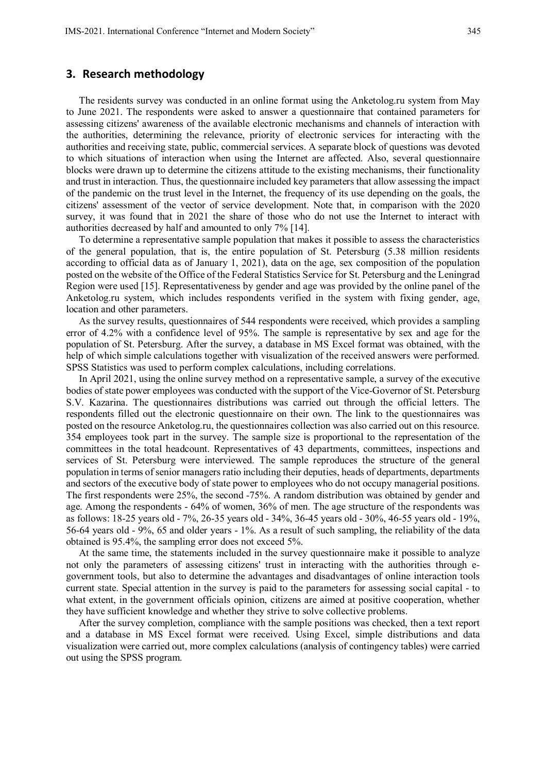## **3. Research methodology**

The residents survey was conducted in an online format using the Anketolog.ru system from May to June 2021. The respondents were asked to answer a questionnaire that contained parameters for assessing citizens' awareness of the available electronic mechanisms and channels of interaction with the authorities, determining the relevance, priority of electronic services for interacting with the authorities and receiving state, public, commercial services. A separate block of questions was devoted to which situations of interaction when using the Internet are affected. Also, several questionnaire blocks were drawn up to determine the citizens attitude to the existing mechanisms, their functionality and trust in interaction. Thus, the questionnaire included key parameters that allow assessing the impact of the pandemic on the trust level in the Internet, the frequency of its use depending on the goals, the citizens' assessment of the vector of service development. Note that, in comparison with the 2020 survey, it was found that in 2021 the share of those who do not use the Internet to interact with authorities decreased by half and amounted to only 7% [14].

To determine a representative sample population that makes it possible to assess the characteristics of the general population, that is, the entire population of St. Petersburg (5.38 million residents according to official data as of January 1, 2021), data on the age, sex composition of the population posted on the website of the Office of the Federal Statistics Service for St. Petersburg and the Leningrad Region were used [15]. Representativeness by gender and age was provided by the online panel of the Anketolog.ru system, which includes respondents verified in the system with fixing gender, age, location and other parameters.

As the survey results, questionnaires of 544 respondents were received, which provides a sampling error of 4.2% with a confidence level of 95%. The sample is representative by sex and age for the population of St. Petersburg. After the survey, a database in MS Excel format was obtained, with the help of which simple calculations together with visualization of the received answers were performed. SPSS Statistics was used to perform complex calculations, including correlations.

In April 2021, using the online survey method on a representative sample, a survey of the executive bodies of state power employees was conducted with the support of the Vice-Governor of St. Petersburg S.V. Kazarina. The questionnaires distributions was carried out through the official letters. The respondents filled out the electronic questionnaire on their own. The link to the questionnaires was posted on the resource Anketolog.ru, the questionnaires collection was also carried out on this resource. 354 employees took part in the survey. The sample size is proportional to the representation of the committees in the total headcount. Representatives of 43 departments, committees, inspections and services of St. Petersburg were interviewed. The sample reproduces the structure of the general population in terms of senior managers ratio including their deputies, heads of departments, departments and sectors of the executive body of state power to employees who do not occupy managerial positions. The first respondents were 25%, the second -75%. A random distribution was obtained by gender and age. Among the respondents - 64% of women, 36% of men. The age structure of the respondents was as follows: 18-25 years old - 7%, 26-35 years old - 34%, 36-45 years old - 30%, 46-55 years old - 19%, 56-64 years old - 9%, 65 and older years - 1%. As a result of such sampling, the reliability of the data obtained is 95.4%, the sampling error does not exceed 5%.

At the same time, the statements included in the survey questionnaire make it possible to analyze not only the parameters of assessing citizens' trust in interacting with the authorities through egovernment tools, but also to determine the advantages and disadvantages of online interaction tools current state. Special attention in the survey is paid to the parameters for assessing social capital - to what extent, in the government officials opinion, citizens are aimed at positive cooperation, whether they have sufficient knowledge and whether they strive to solve collective problems.

After the survey completion, compliance with the sample positions was checked, then a text report and a database in MS Excel format were received. Using Excel, simple distributions and data visualization were carried out, more complex calculations (analysis of contingency tables) were carried out using the SPSS program.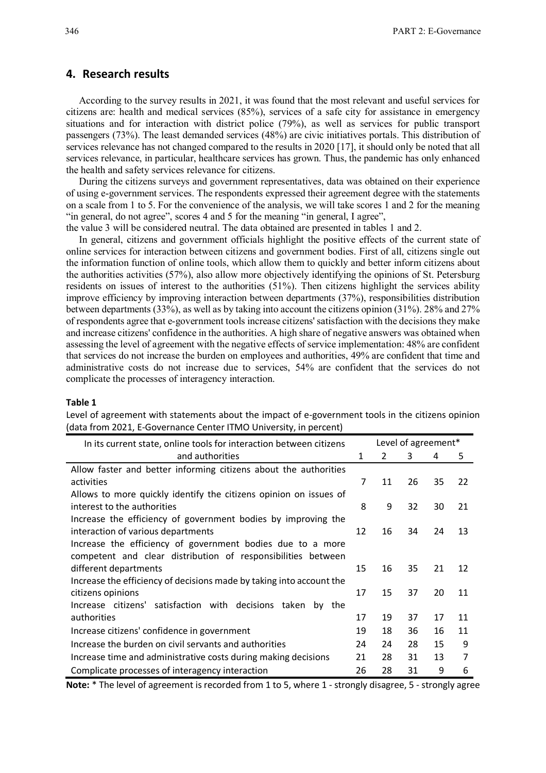## **4. Research results**

According to the survey results in 2021, it was found that the most relevant and useful services for citizens are: health and medical services (85%), services of a safe city for assistance in emergency situations and for interaction with district police (79%), as well as services for public transport passengers (73%). The least demanded services (48%) are civic initiatives portals. This distribution of services relevance has not changed compared to the results in 2020 [17], it should only be noted that all services relevance, in particular, healthcare services has grown. Thus, the pandemic has only enhanced the health and safety services relevance for citizens.

During the citizens surveys and government representatives, data was obtained on their experience of using e-government services. The respondents expressed their agreement degree with the statements on a scale from 1 to 5. For the convenience of the analysis, we will take scores 1 and 2 for the meaning "in general, do not agree", scores 4 and 5 for the meaning "in general, I agree",

the value 3 will be considered neutral. The data obtained are presented in tables 1 and 2.

In general, citizens and government officials highlight the positive effects of the current state of online services for interaction between citizens and government bodies. First of all, citizens single out the information function of online tools, which allow them to quickly and better inform citizens about the authorities activities (57%), also allow more objectively identifying the opinions of St. Petersburg residents on issues of interest to the authorities (51%). Then citizens highlight the services ability improve efficiency by improving interaction between departments (37%), responsibilities distribution between departments (33%), as well as by taking into account the citizens opinion (31%). 28% and 27% of respondents agree that e-government tools increase citizens' satisfaction with the decisions they make and increase citizens' confidence in the authorities. A high share of negative answers was obtained when assessing the level of agreement with the negative effects of service implementation: 48% are confident that services do not increase the burden on employees and authorities, 49% are confident that time and administrative costs do not increase due to services, 54% are confident that the services do not complicate the processes of interagency interaction.

#### **Table 1**

Level of agreement with statements about the impact of e-government tools in the citizens opinion (data from 2021, E-Governance Center ITMO University, in percent)

| In its current state, online tools for interaction between citizens  | Level of agreement* |               |    |    |    |
|----------------------------------------------------------------------|---------------------|---------------|----|----|----|
| and authorities                                                      | 1                   | $\mathcal{L}$ | 3  | 4  | 5  |
| Allow faster and better informing citizens about the authorities     |                     |               |    |    |    |
| activities                                                           | 7                   | 11            | 26 | 35 | 22 |
| Allows to more quickly identify the citizens opinion on issues of    |                     |               |    |    |    |
| interest to the authorities                                          | 8                   | 9             | 32 | 30 | 21 |
| Increase the efficiency of government bodies by improving the        |                     |               |    |    |    |
| interaction of various departments                                   | 12                  | 16            | 34 | 24 | 13 |
| Increase the efficiency of government bodies due to a more           |                     |               |    |    |    |
| competent and clear distribution of responsibilities between         |                     |               |    |    |    |
| different departments                                                | 15                  | 16            | 35 | 21 | 12 |
| Increase the efficiency of decisions made by taking into account the |                     |               |    |    |    |
| citizens opinions                                                    | 17                  | 15            | 37 | 20 | 11 |
| Increase citizens' satisfaction with decisions taken<br>by the       |                     |               |    |    |    |
| authorities                                                          | 17                  | 19            | 37 | 17 | 11 |
| Increase citizens' confidence in government                          | 19                  | 18            | 36 | 16 | 11 |
| Increase the burden on civil servants and authorities                | 24                  | 24            | 28 | 15 | 9  |
| Increase time and administrative costs during making decisions       | 21                  | 28            | 31 | 13 | 7  |
| Complicate processes of interagency interaction                      | 26                  | 28            | 31 | 9  | 6  |

**Note:** \* The level of agreement is recorded from 1 to 5, where 1 - strongly disagree, 5 - strongly agree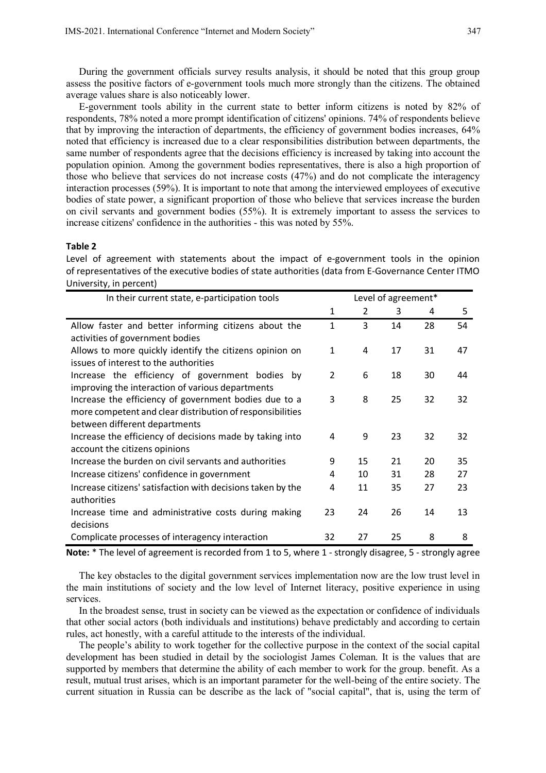During the government officials survey results analysis, it should be noted that this group group assess the positive factors of e-government tools much more strongly than the citizens. The obtained average values share is also noticeably lower.

E-government tools ability in the current state to better inform citizens is noted by 82% of respondents, 78% noted a more prompt identification of citizens' opinions. 74% of respondents believe that by improving the interaction of departments, the efficiency of government bodies increases, 64% noted that efficiency is increased due to a clear responsibilities distribution between departments, the same number of respondents agree that the decisions efficiency is increased by taking into account the population opinion. Among the government bodies representatives, there is also a high proportion of those who believe that services do not increase costs (47%) and do not complicate the interagency interaction processes (59%). It is important to note that among the interviewed employees of executive bodies of state power, a significant proportion of those who believe that services increase the burden on civil servants and government bodies (55%). It is extremely important to assess the services to increase citizens' confidence in the authorities - this was noted by 55%.

### **Table 2**

Level of agreement with statements about the impact of e-government tools in the opinion of representatives of the executive bodies of state authorities (data from E-Governance Center ITMO University, in percent)

| In their current state, e-participation tools               |              | Level of agreement* |    |    |    |  |
|-------------------------------------------------------------|--------------|---------------------|----|----|----|--|
|                                                             | 1            | 2                   | 3  | 4  | 5  |  |
| Allow faster and better informing citizens about the        | $\mathbf{1}$ | 3                   | 14 | 28 | 54 |  |
| activities of government bodies                             |              |                     |    |    |    |  |
| Allows to more quickly identify the citizens opinion on     | 1            | 4                   | 17 | 31 | 47 |  |
| issues of interest to the authorities                       |              |                     |    |    |    |  |
| Increase the efficiency of government bodies by             | 2            | 6                   | 18 | 30 | 44 |  |
| improving the interaction of various departments            |              |                     |    |    |    |  |
| Increase the efficiency of government bodies due to a       | 3            | 8                   | 25 | 32 | 32 |  |
| more competent and clear distribution of responsibilities   |              |                     |    |    |    |  |
| between different departments                               |              |                     |    |    |    |  |
| Increase the efficiency of decisions made by taking into    | 4            | 9                   | 23 | 32 | 32 |  |
| account the citizens opinions                               |              |                     |    |    |    |  |
| Increase the burden on civil servants and authorities       | 9            | 15                  | 21 | 20 | 35 |  |
| Increase citizens' confidence in government                 | 4            | 10                  | 31 | 28 | 27 |  |
| Increase citizens' satisfaction with decisions taken by the | 4            | 11                  | 35 | 27 | 23 |  |
| authorities                                                 |              |                     |    |    |    |  |
| Increase time and administrative costs during making        | 23           | 24                  | 26 | 14 | 13 |  |
| decisions                                                   |              |                     |    |    |    |  |
| Complicate processes of interagency interaction             | 32           | 27                  | 25 | 8  | 8  |  |

**Note:** \* The level of agreement is recorded from 1 to 5, where 1 - strongly disagree, 5 - strongly agree

The key obstacles to the digital government services implementation now are the low trust level in the main institutions of society and the low level of Internet literacy, positive experience in using services.

In the broadest sense, trust in society can be viewed as the expectation or confidence of individuals that other social actors (both individuals and institutions) behave predictably and according to certain rules, act honestly, with a careful attitude to the interests of the individual.

The people's ability to work together for the collective purpose in the context of the social capital development has been studied in detail by the sociologist James Coleman. It is the values that are supported by members that determine the ability of each member to work for the group. benefit. As a result, mutual trust arises, which is an important parameter for the well-being of the entire society. The current situation in Russia can be describe as the lack of "social capital", that is, using the term of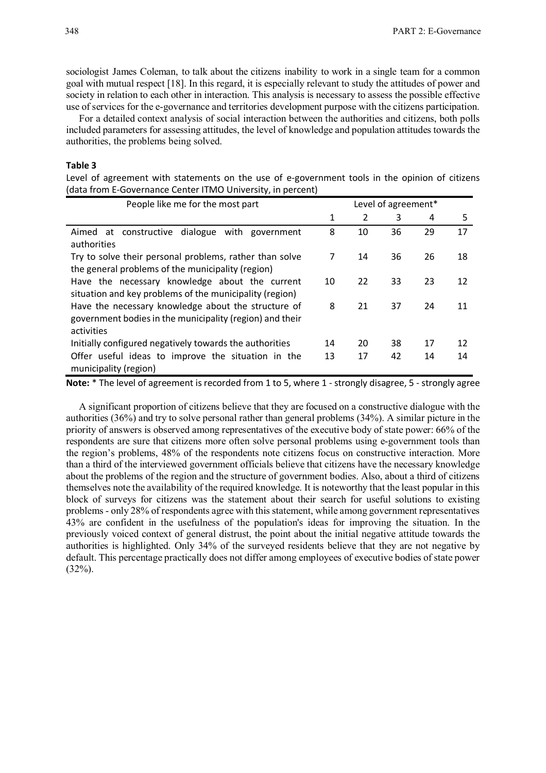sociologist James Coleman, to talk about the citizens inability to work in a single team for a common goal with mutual respect [18]. In this regard, it is especially relevant to study the attitudes of power and society in relation to each other in interaction. This analysis is necessary to assess the possible effective use of services for the e-governance and territories development purpose with the citizens participation.

For a detailed context analysis of social interaction between the authorities and citizens, both polls included parameters for assessing attitudes, the level of knowledge and population attitudes towards the authorities, the problems being solved.

#### **Table 3**

Level of agreement with statements on the use of e-government tools in the opinion of citizens (data from E-Governance Center ITMO University, in percent)

| People like me for the most part                                                                                              | Level of agreement* |    |    |    |    |
|-------------------------------------------------------------------------------------------------------------------------------|---------------------|----|----|----|----|
|                                                                                                                               | 1                   | 2  | 3  | 4  | 5  |
| Aimed at constructive dialogue with government<br>authorities                                                                 | 8                   | 10 | 36 | 29 | 17 |
| Try to solve their personal problems, rather than solve<br>the general problems of the municipality (region)                  | 7                   | 14 | 36 | 26 | 18 |
| Have the necessary knowledge about the current<br>situation and key problems of the municipality (region)                     | 10                  | 22 | 33 | 23 | 12 |
| Have the necessary knowledge about the structure of<br>government bodies in the municipality (region) and their<br>activities | 8                   | 21 | 37 | 24 | 11 |
| Initially configured negatively towards the authorities                                                                       | 14                  | 20 | 38 | 17 | 12 |
| Offer useful ideas to improve the situation in the<br>municipality (region)                                                   | 13                  | 17 | 42 | 14 | 14 |

**Note:** \* The level of agreement is recorded from 1 to 5, where 1 - strongly disagree, 5 - strongly agree

A significant proportion of citizens believe that they are focused on a constructive dialogue with the authorities (36%) and try to solve personal rather than general problems (34%). A similar picture in the priority of answers is observed among representatives of the executive body of state power: 66% of the respondents are sure that citizens more often solve personal problems using e-government tools than the region's problems, 48% of the respondents note citizens focus on constructive interaction. More than a third of the interviewed government officials believe that citizens have the necessary knowledge about the problems of the region and the structure of government bodies. Also, about a third of citizens themselves note the availability of the required knowledge. It is noteworthy that the least popular in this block of surveys for citizens was the statement about their search for useful solutions to existing problems - only 28% of respondents agree with this statement, while among government representatives 43% are confident in the usefulness of the population's ideas for improving the situation. In the previously voiced context of general distrust, the point about the initial negative attitude towards the authorities is highlighted. Only 34% of the surveyed residents believe that they are not negative by default. This percentage practically does not differ among employees of executive bodies of state power (32%).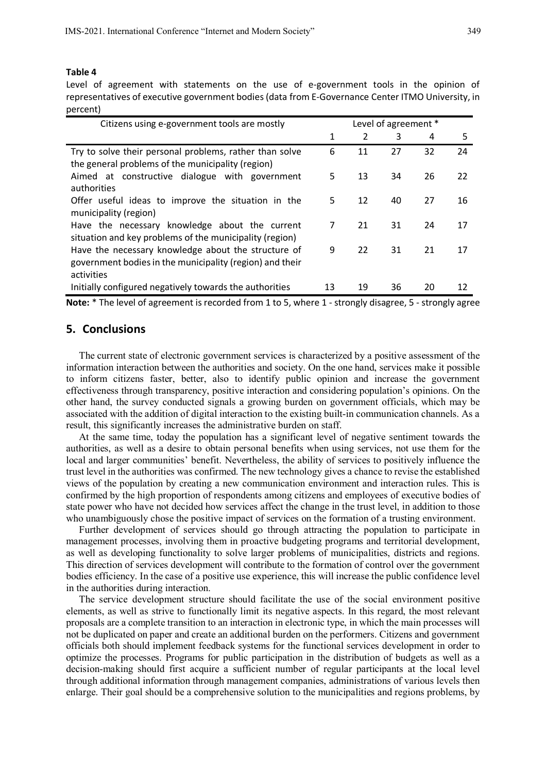### **Table 4**

Level of agreement with statements on the use of e-government tools in the opinion of representatives of executive government bodies (data from E-Governance Center ITMO University, in percent)

| Citizens using e-government tools are mostly                                                                                  | Level of agreement * |                |    |    |    |
|-------------------------------------------------------------------------------------------------------------------------------|----------------------|----------------|----|----|----|
|                                                                                                                               | 1                    | $\overline{2}$ | 3  | 4  | 5  |
| Try to solve their personal problems, rather than solve<br>the general problems of the municipality (region)                  | 6                    | 11             | 27 | 32 | 24 |
| Aimed at constructive dialogue with government<br>authorities                                                                 | 5                    | 13             | 34 | 26 | 22 |
| Offer useful ideas to improve the situation in the<br>municipality (region)                                                   | 5                    | 12             | 40 | 27 | 16 |
| Have the necessary knowledge about the current<br>situation and key problems of the municipality (region)                     | 7                    | 21             | 31 | 24 | 17 |
| Have the necessary knowledge about the structure of<br>government bodies in the municipality (region) and their<br>activities | 9                    | 22             | 31 | 21 | 17 |
| Initially configured negatively towards the authorities                                                                       | 13                   | 19             | 36 | 20 | 12 |

**Note:** \* The level of agreement is recorded from 1 to 5, where 1 - strongly disagree, 5 - strongly agree

## **5. Conclusions**

The current state of electronic government services is characterized by a positive assessment of the information interaction between the authorities and society. On the one hand, services make it possible to inform citizens faster, better, also to identify public opinion and increase the government effectiveness through transparency, positive interaction and considering population's opinions. On the other hand, the survey conducted signals a growing burden on government officials, which may be associated with the addition of digital interaction to the existing built-in communication channels. As a result, this significantly increases the administrative burden on staff.

At the same time, today the population has a significant level of negative sentiment towards the authorities, as well as a desire to obtain personal benefits when using services, not use them for the local and larger communities' benefit. Nevertheless, the ability of services to positively influence the trust level in the authorities was confirmed. The new technology gives a chance to revise the established views of the population by creating a new communication environment and interaction rules. This is confirmed by the high proportion of respondents among citizens and employees of executive bodies of state power who have not decided how services affect the change in the trust level, in addition to those who unambiguously chose the positive impact of services on the formation of a trusting environment.

Further development of services should go through attracting the population to participate in management processes, involving them in proactive budgeting programs and territorial development, as well as developing functionality to solve larger problems of municipalities, districts and regions. This direction of services development will contribute to the formation of control over the government bodies efficiency. In the case of a positive use experience, this will increase the public confidence level in the authorities during interaction.

The service development structure should facilitate the use of the social environment positive elements, as well as strive to functionally limit its negative aspects. In this regard, the most relevant proposals are a complete transition to an interaction in electronic type, in which the main processes will not be duplicated on paper and create an additional burden on the performers. Citizens and government officials both should implement feedback systems for the functional services development in order to optimize the processes. Programs for public participation in the distribution of budgets as well as a decision-making should first acquire a sufficient number of regular participants at the local level through additional information through management companies, administrations of various levels then enlarge. Their goal should be a comprehensive solution to the municipalities and regions problems, by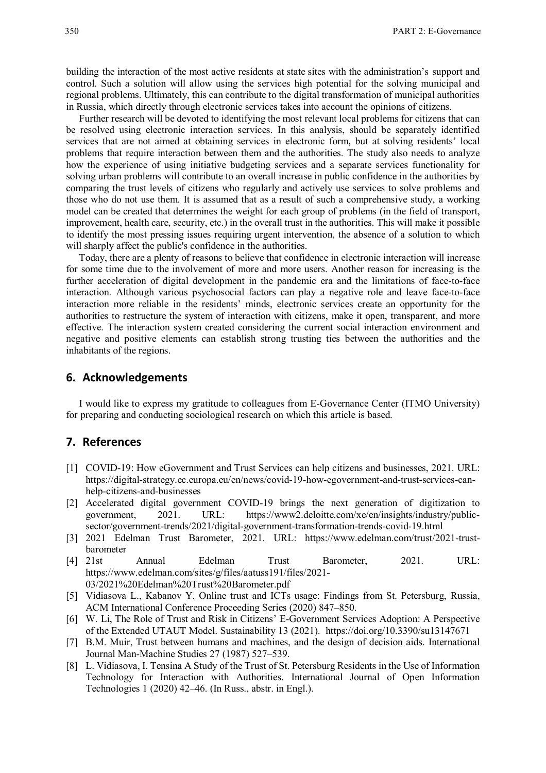building the interaction of the most active residents at state sites with the administration's support and control. Such a solution will allow using the services high potential for the solving municipal and regional problems. Ultimately, this can contribute to the digital transformation of municipal authorities in Russia, which directly through electronic services takes into account the opinions of citizens.

Further research will be devoted to identifying the most relevant local problems for citizens that can be resolved using electronic interaction services. In this analysis, should be separately identified services that are not aimed at obtaining services in electronic form, but at solving residents' local problems that require interaction between them and the authorities. The study also needs to analyze how the experience of using initiative budgeting services and a separate services functionality for solving urban problems will contribute to an overall increase in public confidence in the authorities by comparing the trust levels of citizens who regularly and actively use services to solve problems and those who do not use them. It is assumed that as a result of such a comprehensive study, a working model can be created that determines the weight for each group of problems (in the field of transport, improvement, health care, security, etc.) in the overall trust in the authorities. This will make it possible to identify the most pressing issues requiring urgent intervention, the absence of a solution to which will sharply affect the public's confidence in the authorities.

Today, there are a plenty of reasons to believe that confidence in electronic interaction will increase for some time due to the involvement of more and more users. Another reason for increasing is the further acceleration of digital development in the pandemic era and the limitations of face-to-face interaction. Although various psychosocial factors can play a negative role and leave face-to-face interaction more reliable in the residents' minds, electronic services create an opportunity for the authorities to restructure the system of interaction with citizens, make it open, transparent, and more effective. The interaction system created considering the current social interaction environment and negative and positive elements can establish strong trusting ties between the authorities and the inhabitants of the regions.

## **6. Acknowledgements**

I would like to express my gratitude to colleagues from E-Governance Center (ITMO University) for preparing and conducting sociological research on which this article is based.

## **7. References**

- [1] COVID-19: How eGovernment and Trust Services can help citizens and businesses, 2021. URL: https://digital-strategy.ec.europa.eu/en/news/covid-19-how-egovernment-and-trust-services-canhelp-citizens-and-businesses
- [2] Accelerated digital government COVID-19 brings the next generation of digitization to government, 2021. URL: https://www2.deloitte.com/xe/en/insights/industry/publicsector/government-trends/2021/digital-government-transformation-trends-covid-19.html
- [3] 2021 Edelman Trust Barometer, 2021. URL: https://www.edelman.com/trust/2021-trustbarometer
- [4] 21st Annual Edelman Trust Barometer, 2021. URL: https://www.edelman.com/sites/g/files/aatuss191/files/2021- 03/2021%20Edelman%20Trust%20Barometer.pdf
- [5] Vidiasova L., Kabanov Y. Online trust and ICTs usage: Findings from St. Petersburg, Russia, ACM International Conference Proceeding Series (2020) 847–850.
- [6] W. Li, The Role of Trust and Risk in Citizens' E-Government Services Adoption: A Perspective of the Extended UTAUT Model. Sustainability 13 (2021). https://doi.org/10.3390/su13147671
- [7] B.M. Muir, Trust between humans and machines, and the design of decision aids. International Journal Man-Machine Studies 27 (1987) 527–539.
- [8] L. Vidiasova, I. Tensina A Study of the Trust of St. Petersburg Residents in the Use of Information Technology for Interaction with Authorities. International Journal of Open Information Technologies 1 (2020) 42–46. (In Russ., аbstr. in Engl.).